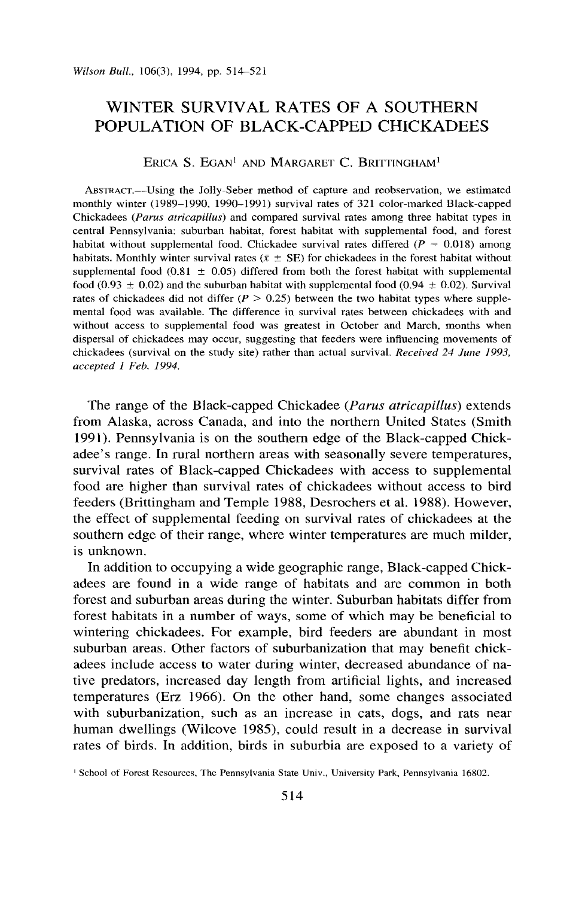# **WINTER SURVIVAL RATES OF A SOUTHERN POPULATION OF BLACK-CAPPED CHICKADEES**

# **ERICA S. EGAN' AND MARGARET C. BRITTINGHAM'**

ABSTRACT.--Using the Jolly-Seber method of capture and reobservation, we estimated **monthly winter (1989-1990, 1990-1991) survival rates of 321 color-marked Black-capped**  Chickadees (*Parus atricapillus*) and compared survival rates among three habitat types in **central Pennsylvania: suburban habitat, forest habitat with supplemental food, and forest**  habitat without supplemental food. Chickadee survival rates differed  $(P = 0.018)$  among habitats. Monthly winter survival rates  $(\bar{x} \pm \text{SE})$  for chickadees in the forest habitat without supplemental food ( $0.81 \pm 0.05$ ) differed from both the forest habitat with supplemental food (0.93  $\pm$  0.02) and the suburban habitat with supplemental food (0.94  $\pm$  0.02). Survival rates of chickadees did not differ  $(P > 0.25)$  between the two habitat types where supple**mental food was available. The difference in survival rates between chickadees with and without access to supplemental food was greatest in October and March, months when dispersal of chickadees may occur, suggesting that feeders were influencing movements of chickadees (survival on the study site) rather than actual survival. Received 24 hune 1993, accepted I Feb. 1994.** 

**The range of the Black-capped Chickadee (Parus atricapillus) extends from Alaska, across Canada, and into the northern United States (Smith 1991). Pennsylvania is on the southern edge of the Black-capped Chickadee's range. In rural northern areas with seasonally severe temperatures, survival rates of Black-capped Chickadees with access to supplemental food are higher than survival rates of chickadees without access to bird feeders (Brittingham and Temple 1988, Desrochers et al. 1988). However, the effect of supplemental feeding on survival rates of chickadees at the southern edge of their range, where winter temperatures are much milder, is unknown.** 

**In addition to occupying a wide geographic range, Black-capped Chickadees are found in a wide range of habitats and are common in both forest and suburban areas during the winter. Suburban habitats differ from forest habitats in a number of ways, some of which may be beneficial to wintering chickadees. For example, bird feeders are abundant in most suburban areas. Other factors of suburbanization that may benefit chickadees include access to water during winter, decreased abundance of native predators, increased day length from artificial lights, and increased temperatures (Erz 1966). On the other hand, some changes associated with suburbanization, such as an increase in cats, dogs, and rats near human dwellings (Wilcove 1985), could result in a decrease in survival rates of birds. In addition, birds in suburbia are exposed to a variety of** 

**<sup>&#</sup>x27; School of Forest Resources, The Pennsylvania State Univ., University Park, Pennsylvania 16802**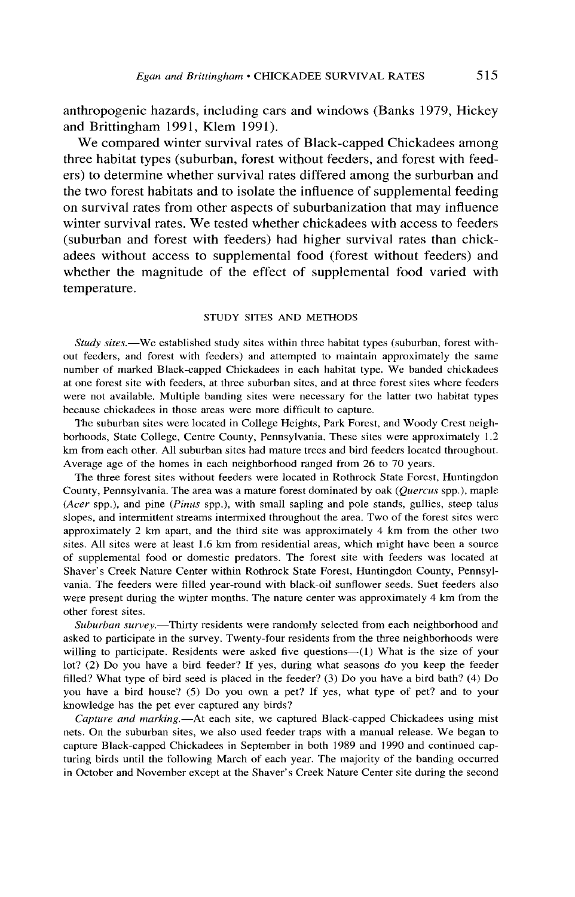**anthropogenic hazards, including cars and windows (Banks 1979, Hickey and Brittingham 1991, Klem 1991).** 

**We compared winter survival rates of Black-capped Chickadees among three habitat types (suburban, forest without feeders, and forest with feeders) to determine whether survival rates differed among the surburban and the two forest habitats and to isolate the influence of supplemental feeding on survival rates from other aspects of suburbanization that may influence winter survival rates. We tested whether chickadees with access to feeders (suburban and forest with feeders) had higher survival rates than chickadees without access to supplemental food (forest without feeders) and whether the magnitude of the effect of supplemental food varied with temperature.** 

#### **STUDY SITES AND METHODS**

Study sites.—We established study sites within three habitat types (suburban, forest with**out feeders, and forest with feeders) and attempted to maintain approximately the same number of marked Black-capped Chickadees in each habitat type, We banded chickadees at one forest site with feeders, at three suburban sites, and at three forest sites where feeders were not available. Multiple banding sites were necessary for the latter two habitat types because chickadees in those areas were more difficult to capture.** 

**The suburban sites were located in College Heights, Park Forest, and Woody Crest neighborhoods, State College, Centre County, Pennsylvania. These sites were approximately 1.2 km from each other. All suburban sites had mature trees and bird feeders located throughout. Average age of the homes in each neighborhood ranged from 26 to 70 years.** 

**The three forest sites without feeders were located in Rothrock State Forest, Huntingdon County, Pennsylvania. The area was a mature forest dominated by oak (Quercus spp.), maple**  (Acer spp.), and pine (Pinus spp.), with small sapling and pole stands, gullies, steep talus **slopes, and intermittent streams intermixed throughout the area. Two of the forest sites were approximately 2 km apart, and the third site was approximately 4 km from the other two sites. All sites were at least 1.6 km from residential areas, which might have been a source of supplemental food or domestic predators. The forest site with feeders was located at Shaver's Creek Nature Center within Rothrock State Forest, Huntingdon County, Pennsylvania. The feeders were filled year-round with black-oil sunflower seeds. Suet feeders also were present during the winter months. The nature center was approximately 4 km from the other forest sites.** 

Suburban survey.-Thirty residents were randomly selected from each neighborhood and **asked to participate in the survey. Twenty-four residents from the three neighborhoods were**  willing to participate. Residents were asked five questions—(1) What is the size of your **lot? (2) Do you have a bird feeder? If yes, during what seasons do you keep the feeder filled? What type of bird seed is placed in the feeder? (3) Do you have a bird bath'? (4) Do you have a bird house? (5) Do you own a pet? If yes, what type of pet? and to your knowledge has the pet ever captured any birds?** 

Capture and marking.-At each site, we captured Black-capped Chickadees using mist **nets. On the suburban sites, we also used feeder traps with a manual release. We began to capture Black-capped Chickadees in September in both 1989 and 1990 and continued capturing birds until the following March of each year. The majority of the banding occurred in October and November except at the Shaver's Creek Nature Center site during the second**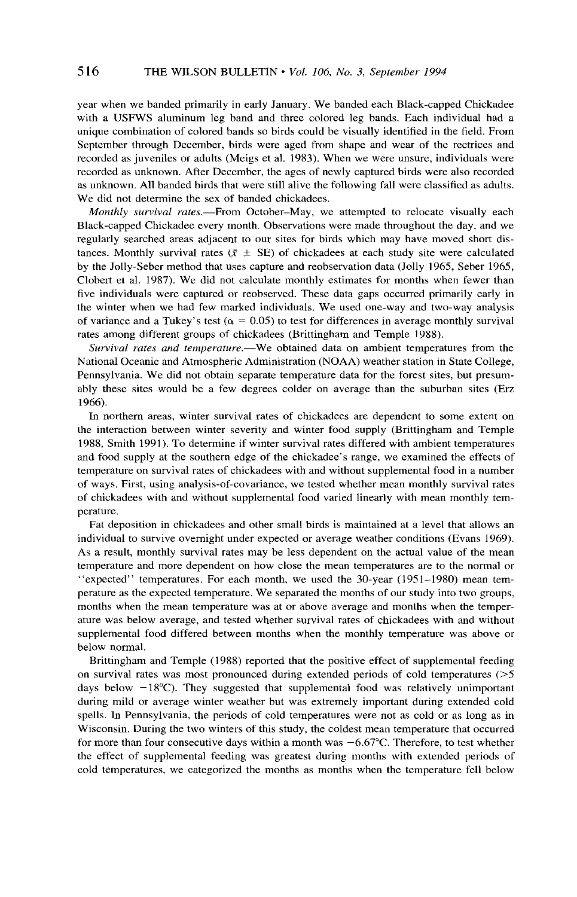**year when we banded primarily in early January. We banded each Black-capped Chickadee with a USFWS aluminum leg band and three colored leg bands. Each individual had a unique combination of colored bands so birds could be visually identified in the field. From September through December, birds were aged from shape and wear of the rectrices and recorded as juveniles or adults (Meigs et al. 1983). When we were unsure, individuals were recorded as unknown. After December, the ages of newly captured birds were also recorded as unknown. All banded birds that were still alive the following fall were classified as adults. We did not determine the sex of banded chickadees.** 

Monthly survival rates.—From October-May, we attempted to relocate visually each **Black-capped Chickadee every month. Observations were made throughout the day, and we regularly searched areas adjacent to our sites for birds which may have moved short dis**tances. Monthly survival rates ( $\bar{x} \pm \text{SE}$ ) of chickadees at each study site were calculated **by the Jolly-Seber method that uses capture and reobservation data (Jolly 1965, Seber 1965, Clobert et al. 1987). We did not calculate monthly estimates for months when fewer than live individuals were captured or reobserved. These data gaps occurred primarily early in the winter when we had few marked individuals. We used one-way and two-way analysis**  of variance and a Tukey's test ( $\alpha = 0.05$ ) to test for differences in average monthly survival **rates among different groups of chickadees (Brittingham and Temple 1988).** 

Survival rates and temperature.—We obtained data on ambient temperatures from the **National Oceanic and Atmospheric Administration (NOAA) weather station in State College, Pennsylvania. We did not obtain separate temperature data for the forest sites, but presumably these sites would be a few degrees colder on average than the suburban sites (Erz 1966).** 

**In northern areas, winter survival rates of chickadees are dependent to some extent on the interaction between winter severity and winter food supply (Brittingham and Temple 1988, Smith 1991). To determine if winter survival rates differed with ambient temperatures**  and food supply at the southern edge of the chickadee's range, we examined the effects of **temperature on survival rates of chickadees with and without supplemental food in a number of ways. First, using analysis-of-covariance, we tested whether mean monthly survival rates of chickadees with and without supplemental food varied linearly with mean monthly temperature.** 

**Fat deposition in chickadees and other small birds is maintained at a level that allows an individual to survive overnight under expected or average weather conditions (Evans 1969). As a result, monthly survival rates may be less dependent on the actual value of the mean temperature and more dependent on how close the mean temperatures are to the normal or "expected" temperatures. For each month, we used the 30.year (1951-1980) mean temperature as the expected temperature. We separated the months of our study into two groups, months when the mean temperature was at or above average and months when the temperature was below average, and tested whether survival rates of chickadees with and without supplemental food differed between months when the monthly temperature was above or below normal.** 

**Brittingham and Temple (1988) reported that the positive effect of supplemental feeding on survival rates was most pronounced during extended periods of cold temperatures (>5**  days below  $-18^{\circ}$ C). They suggested that supplemental food was relatively unimportant **during mild or average winter weather but was extremely important during extended cold spells. In Pennsylvania, the periods of cold temperatures were not as cold or as long as in Wisconsin. During the two winters of this study, the coldest mean temperature that occurred**  for more than four consecutive days within a month was  $-6.67^{\circ}$ C. Therefore, to test whether **the effect of supplemental feeding was greatest during months with extended periods of cold temperatures, we categorized the months as months when the temperature fell below**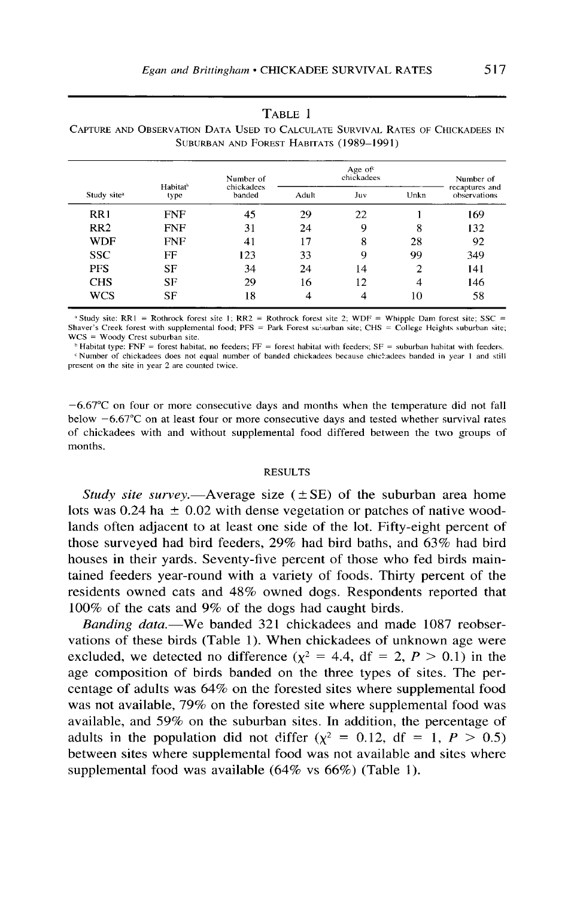| Study site <sup>a</sup> | Habitath<br>type | Number of<br>chickadees<br>banded | Age of<br>chickadees |     |                | Number of                      |
|-------------------------|------------------|-----------------------------------|----------------------|-----|----------------|--------------------------------|
|                         |                  |                                   | Adult                | Juv | Unkn           | recaptures and<br>observations |
| RR1                     | <b>FNF</b>       | 45                                | 29                   | 22  |                | 169                            |
| RR <sub>2</sub>         | <b>FNF</b>       | 31                                | 24                   | 9   | 8              | 132                            |
| <b>WDF</b>              | <b>FNF</b>       | 41                                | 17                   | 8   | 28             | 92                             |
| <b>SSC</b>              | FF               | 123                               | 33                   | 9   | 99             | 349                            |
| <b>PFS</b>              | SF               | 34                                | 24                   | 14  | $\overline{c}$ | 141                            |
| <b>CHS</b>              | SF               | 29                                | 16                   | 12  | 4              | 146                            |
| WCS                     | <b>SF</b>        | 18                                | 4                    | 4   | 10             | 58                             |

**TABLE 1 CAPTURE AND OBSERVATION DATA USED TO CALCULATE SURVIVAL RATES OF CHICKADEES IN SUBURBAN AND FOREST HABITATS (1989-1991)** 

**r Study site: RRI = Rothrock foreat site I, RR2 = Rothrock forest site 2, WDF = Wbtpple Dam forest site; SSC =**  Shaver's Creek forest with supplemental food; PFS = Park Forest suburban site; CHS = College Heights suburban site; **WCS = Woody Crest suburban ate.** 

**h Habitat type: FNF = forest habitat, no feeders; FF = forest habitat with feeders; SF = suburban habitat with feeders.** <sup>e</sup> Number of chickadees does not equal number of banded chickadees because chickadees banded in year 1 and still present on the site in year 2 are counted twice.

 $-6.67^{\circ}$ C on four or more consecutive days and months when the temperature did not fall **below -6.67"C on at least four or more consecutive days and tested whether survival rates of chickadees with and without supplemental food differed between the two groups of months.** 

## **RESULTS**

*Study site survey.*—Average size ( $\pm$ SE) of the suburban area home lots was  $0.24$  ha  $\pm 0.02$  with dense vegetation or patches of native wood**lands often adjacent to at least one side of the lot. Fifty-eight percent of those surveyed had bird feeders, 29% had bird baths, and 63% had bird houses in their yards. Seventy-five percent of those who fed birds maintained feeders year-round with a variety of foods. Thirty percent of the residents owned cats and 48% owned dogs. Respondents reported that 100% of the cats and 9% of the dogs had caught birds.** 

Banding data.—We banded 321 chickadees and made 1087 reobser**vations of these birds (Table 1). When chickadees of unknown age were**  excluded, we detected no difference ( $x^2 = 4.4$ , df = 2, P > 0.1) in the **age composition of birds banded on the three types of sites. The percentage of adults was 64% on the forested sites where supplemental food was not available, 79% on the forested site where supplemental food was available, and 59% on the suburban sites. In addition, the percentage of**  adults in the population did not differ  $(\chi^2 = 0.12, df = 1, P > 0.5)$ **between sites where supplemental food was not available and sites where supplemental food was available (64% vs 66%) (Table 1).**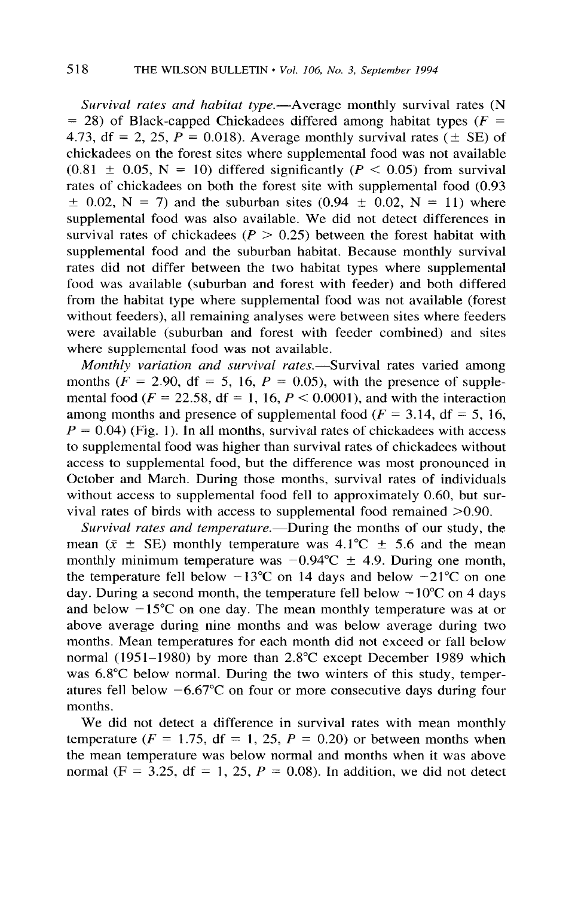Survival rates and habitat type.- Average monthly survival rates (N  $=$  28) of Black-capped Chickadees differed among habitat types ( $F =$ 4.73, df = 2, 25,  $\vec{P}$  = 0.018). Average monthly survival rates ( $\pm$  SE) of **chickadees on the forest sites where supplemental food was not available**   $(0.81 \pm 0.05, N = 10)$  differed significantly ( $P < 0.05$ ) from survival **rates of chickadees on both the forest site with supplemental food (0.93**   $\pm$  0.02, N = 7) and the suburban sites (0.94  $\pm$  0.02, N = 11) where **supplemental food was also available. We did not detect differences in**  survival rates of chickadees ( $P > 0.25$ ) between the forest habitat with **supplemental food and the suburban habitat. Because monthly survival rates did not differ between the two habitat types where supplemental food was available (suburban and forest with feeder) and both differed from the habitat type where supplemental food was not available (forest without feeders), all remaining analyses were between sites where feeders were available (suburban and forest with feeder combined) and sites where supplemental food was not available.** 

Monthly variation and survival rates.-Survival rates varied among months ( $F = 2.90$ , df = 5, 16,  $P = 0.05$ ), with the presence of supplemental food ( $F = 22.58$ , df = 1, 16,  $P < 0.0001$ ), and with the interaction among months and presence of supplemental food  $(F = 3.14, df = 5, 16,$  $P = 0.04$ ) (Fig. 1). In all months, survival rates of chickadees with access **to supplemental food was higher than survival rates of chickadees without access to supplemental food, but the difference was most pronounced in October and March. During those months, survival rates of individuals without access to supplemental food fell to approximately 0.60, but survival rates of birds with access to supplemental food remained >0.90.** 

Survival rates and temperature.—During the months of our study, the mean  $(\bar{x} \pm \text{SE})$  monthly temperature was  $4.1^{\circ}\text{C} \pm 5.6$  and the mean monthly minimum temperature was  $-0.94^{\circ}\text{C} \pm 4.9$ . During one month, the temperature fell below  $-13^{\circ}$ C on 14 days and below  $-21^{\circ}$ C on one **day. During a second month, the temperature fell below - 10°C on 4 days**  and below  $-15^{\circ}$ C on one day. The mean monthly temperature was at or **above average during nine months and was below average during two months. Mean temperatures for each month did not exceed or fall below normal (1951-1980) by more than 2.8"C except December 1989 which was 6.8"C below normal. During the two winters of this study, temperatures fell below -6.67"C on four or more consecutive days during four months.** 

**We did not detect a difference in survival rates with mean monthly**  temperature ( $F = 1.75$ ,  $df = 1$ , 25,  $P = 0.20$ ) or between months when **the mean temperature was below normal and months when it was above normal** ( $F = 3.25$ ,  $df = 1$ , 25,  $P = 0.08$ ). In addition, we did not detect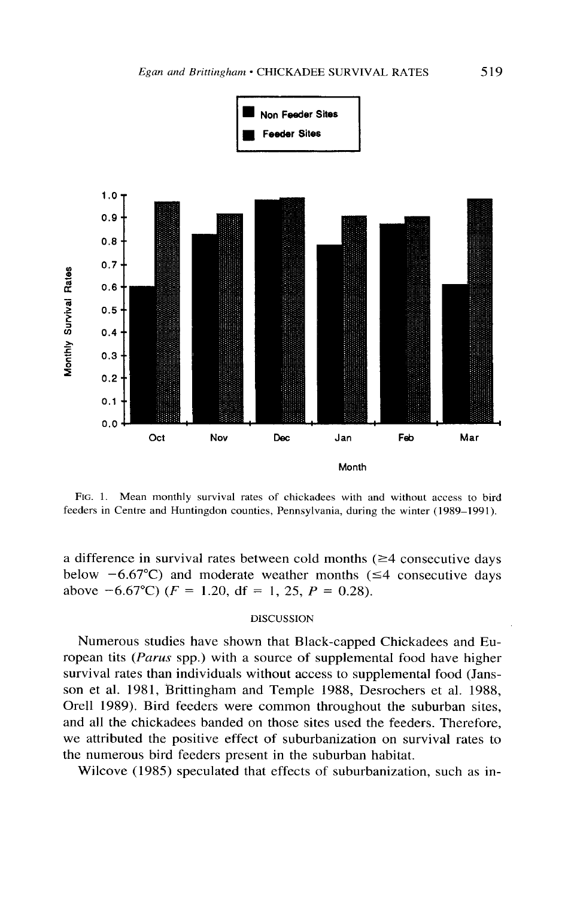

**FIG. 1. Mean monthly survival rates of chickadees with and without access to bird feeders in Centre and Huntingdon counties, Pennsylvania, during the winter (1989-1991).** 

a difference in survival rates between cold months  $(\geq 4)$  consecutive days below  $-6.67^{\circ}$ C) and moderate weather months ( $\leq 4$  consecutive days above  $-6.67^{\circ}$ C) ( $F = 1.20$ , df = 1, 25,  $P = 0.28$ ).

#### **DISCUSSION**

**Numerous studies have shown that Black-capped Chickadees and Eu**ropean tits (*Parus* spp.) with a source of supplemental food have higher **survival rates than individuals without access to supplemental food (Jansson et al. 1981, Brittingham and Temple 1988, Desrochers et al. 1988, Ore11 1989). Bird feeders were common throughout the suburban sites, and all the chickadees banded on those sites used the feeders. Therefore, we attributed the positive effect of suburbanization on survival rates to the numerous bird feeders present in the suburban habitat.** 

**Wilcove (1985) speculated that effects of suburbanization, such as in-**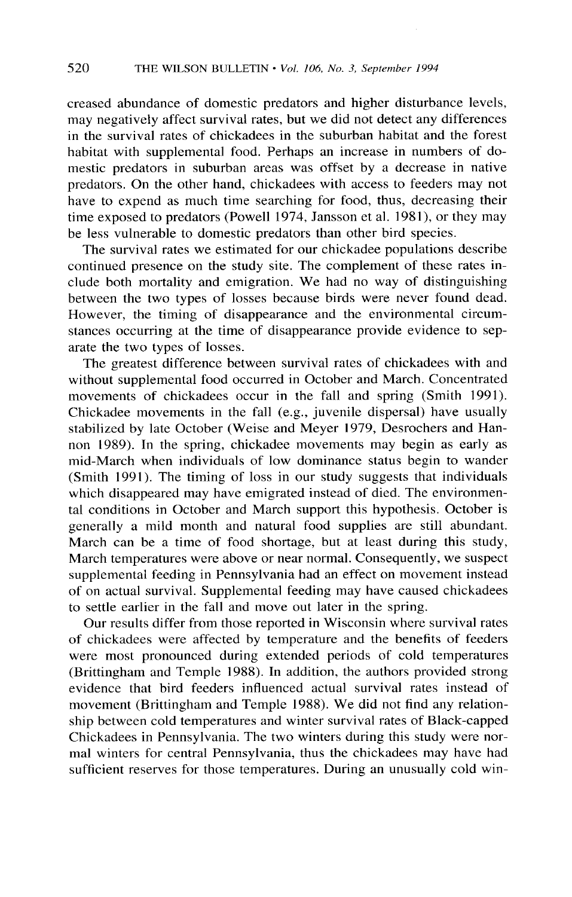**creased abundance of domestic predators and higher disturbance levels, may negatively affect survival rates, but we did not detect any differences in the survival rates of chickadees in the suburban habitat and the forest habitat with supplemental food. Perhaps an increase in numbers of domestic predators in suburban areas was offset by a decrease in native predators. On the other hand, chickadees with access to feeders may not have to expend as much time searching for food, thus, decreasing their time exposed to predators (Powell 1974, Jansson et al. 1981), or they may be less vulnerable to domestic predators than other bird species.** 

**The survival rates we estimated for our chickadee populations describe continued presence on the study site. The complement of these rates include both mortality and emigration. We had no way of distinguishing between the two types of losses because birds were never found dead. However, the timing of disappearance and the environmental circumstances occurring at the time of disappearance provide evidence to separate the two types of losses.** 

**The greatest difference between survival rates of chickadees with and without supplemental food occurred in October and March. Concentrated movements of chickadees occur in the fall and spring (Smith 1991). Chickadee movements in the fall (e.g., juvenile dispersal) have usually stabilized by late October (Weise and Meyer 1979, Desrochers and Hannon 1989). In the spring, chickadee movements may begin as early as mid-March when individuals of low dominance status begin to wander (Smith 1991). The timing of loss in our study suggests that individuals which disappeared may have emigrated instead of died. The environmental conditions in October and March support this hypothesis. October is generally a mild month and natural food supplies are still abundant. March can be a time of food shortage, but at least during this study, March temperatures were above or near normal. Consequently, we suspect supplemental feeding in Pennsylvania had an effect on movement instead of on actual survival. Supplemental feeding may have caused chickadees to settle earlier in the fall and move out later in the spring.** 

**Our results differ from those reported in Wisconsin where survival rates of chickadees were affected by temperature and the benefits of feeders were most pronounced during extended periods of cold temperatures (Brittingham and Temple 1988). In addition, the authors provided strong evidence that bird feeders influenced actual survival rates instead of movement (Brittingham and Temple 1988). We did not find any relationship between cold temperatures and winter survival rates of Black-capped Chickadees in Pennsylvania. The two winters during this study were normal winters for central Pennsylvania, thus the chickadees may have had sufficient reserves for those temperatures. During an unusually cold win-**